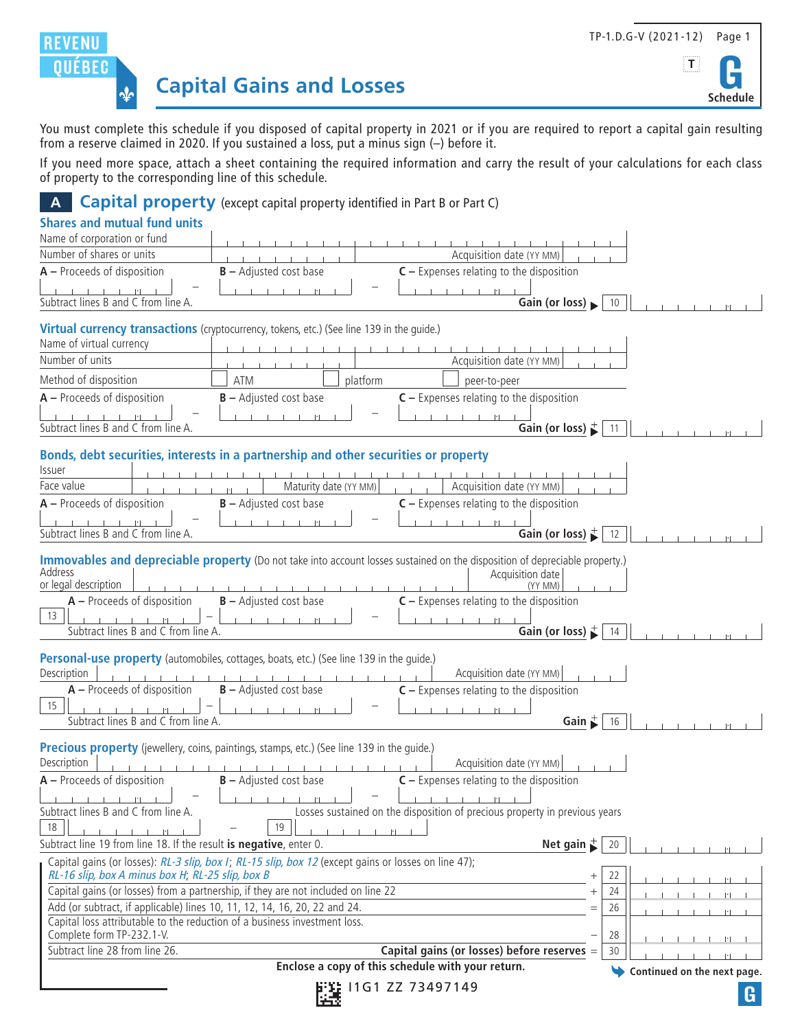

 $|\mathbf{T}|$ 

**Schedule**



You must complete this schedule if you disposed of capital property in 2021 or if you are required to report a capital gain resulting from a reserve claimed in 2020. If you sustained a loss, put a minus sign (–) before it.

If you need more space, attach a sheet containing the required information and carry the result of your calculations for each class of property to the corresponding line of this schedule.

**A Capital property** (except capital property identified in Part B or Part C)

| <b>Shares and mutual fund units</b>                                                                                                                    |                                                                                                      |                                                                                                                                                                                                                                                                                    |     |
|--------------------------------------------------------------------------------------------------------------------------------------------------------|------------------------------------------------------------------------------------------------------|------------------------------------------------------------------------------------------------------------------------------------------------------------------------------------------------------------------------------------------------------------------------------------|-----|
| Name of corporation or fund                                                                                                                            |                                                                                                      |                                                                                                                                                                                                                                                                                    |     |
| Number of shares or units                                                                                                                              |                                                                                                      | Acquisition date (YY MM)                                                                                                                                                                                                                                                           |     |
| $A -$ Proceeds of disposition                                                                                                                          | $B -$ Adjusted cost base                                                                             | $C -$ Expenses relating to the disposition                                                                                                                                                                                                                                         |     |
| Subtract lines B and C from line A.                                                                                                                    |                                                                                                      | $-1$ $-11$                                                                                                                                                                                                                                                                         |     |
|                                                                                                                                                        |                                                                                                      | Gain (or loss) $\blacktriangleright$                                                                                                                                                                                                                                               | 10  |
|                                                                                                                                                        | Virtual currency transactions (cryptocurrency, tokens, etc.) (See line 139 in the quide.)            |                                                                                                                                                                                                                                                                                    |     |
| Name of virtual currency                                                                                                                               |                                                                                                      |                                                                                                                                                                                                                                                                                    |     |
| Number of units                                                                                                                                        |                                                                                                      | Acquisition date (YY MM)                                                                                                                                                                                                                                                           |     |
| Method of disposition                                                                                                                                  | platform<br><b>ATM</b>                                                                               | peer-to-peer                                                                                                                                                                                                                                                                       |     |
| $A -$ Proceeds of disposition                                                                                                                          | $B -$ Adjusted cost base                                                                             | $C -$ Expenses relating to the disposition                                                                                                                                                                                                                                         |     |
| Subtract lines B and C from line A.                                                                                                                    |                                                                                                      | $\sim 10^{-1}$ and $\sim 10^{-1}$<br>Gain (or loss) $\stackrel{+}{\blacktriangleright}$                                                                                                                                                                                            | -11 |
|                                                                                                                                                        |                                                                                                      |                                                                                                                                                                                                                                                                                    |     |
|                                                                                                                                                        | Bonds, debt securities, interests in a partnership and other securities or property                  |                                                                                                                                                                                                                                                                                    |     |
| <b>Issuer</b><br>Face value                                                                                                                            | Maturity date (YY MM)                                                                                | Acquisition date (YY MM)                                                                                                                                                                                                                                                           |     |
| $A -$ Proceeds of disposition                                                                                                                          | $B -$ Adjusted cost base                                                                             | $C -$ Expenses relating to the disposition                                                                                                                                                                                                                                         |     |
|                                                                                                                                                        |                                                                                                      | $-1$ $-11$                                                                                                                                                                                                                                                                         |     |
| Subtract lines B and C from line A.                                                                                                                    |                                                                                                      | Gain (or loss) $\stackrel{+}{\blacktriangleright}$                                                                                                                                                                                                                                 | 12  |
| Address<br>or legal description<br>$A -$ Proceeds of disposition<br>13<br>Subtract lines B and C from line A.                                          | $B -$ Adjusted cost base<br>and the control of                                                       | Immovables and depreciable property (Do not take into account losses sustained on the disposition of depreciable property.)<br>Acquisition date<br>(YY MM)<br>$C -$ Expenses relating to the disposition<br>The Channel Hall<br>Gain (or loss) $\stackrel{+}{\blacktriangleright}$ | -14 |
|                                                                                                                                                        | Personal-use property (automobiles, cottages, boats, etc.) (See line 139 in the quide.)              |                                                                                                                                                                                                                                                                                    |     |
| Description                                                                                                                                            |                                                                                                      | Acquisition date (YY MM)                                                                                                                                                                                                                                                           |     |
| $A -$ Proceeds of disposition                                                                                                                          | $B -$ Adjusted cost base                                                                             | $C -$ Expenses relating to the disposition                                                                                                                                                                                                                                         |     |
| 15                                                                                                                                                     |                                                                                                      | $-1 - 1 - 11$                                                                                                                                                                                                                                                                      |     |
| Subtract lines B and C from line A.                                                                                                                    |                                                                                                      | Gain $\stackrel{+}{\blacktriangleright}$                                                                                                                                                                                                                                           | 16  |
|                                                                                                                                                        | Precious property (jewellery, coins, paintings, stamps, etc.) (See line 139 in the quide.)           |                                                                                                                                                                                                                                                                                    |     |
| Description                                                                                                                                            |                                                                                                      | Acquisition date (YY MM)                                                                                                                                                                                                                                                           |     |
| $A -$ Proceeds of disposition                                                                                                                          | $B -$ Adjusted cost base                                                                             | $C -$ Expenses relating to the disposition                                                                                                                                                                                                                                         |     |
|                                                                                                                                                        |                                                                                                      | <b>Call College</b><br>$  \cdot  $                                                                                                                                                                                                                                                 |     |
| Subtract lines B and C from line A.<br>18                                                                                                              | 19                                                                                                   | Losses sustained on the disposition of precious property in previous years<br>$  \cdot  $                                                                                                                                                                                          |     |
| Subtract line 19 from line 18. If the result is negative, enter 0.                                                                                     |                                                                                                      | Net gain $\stackrel{+}{\blacktriangleright}$                                                                                                                                                                                                                                       | 20  |
|                                                                                                                                                        | Capital gains (or losses): RL-3 slip, box I; RL-15 slip, box 12 (except gains or losses on line 47); |                                                                                                                                                                                                                                                                                    |     |
| RL-16 slip, box A minus box H, RL-25 slip, box B                                                                                                       |                                                                                                      |                                                                                                                                                                                                                                                                                    | 22  |
| Capital gains (or losses) from a partnership, if they are not included on line 22                                                                      |                                                                                                      |                                                                                                                                                                                                                                                                                    | 24  |
| Add (or subtract, if applicable) lines 10, 11, 12, 14, 16, 20, 22 and 24.<br>Capital loss attributable to the reduction of a business investment loss. |                                                                                                      | $=$                                                                                                                                                                                                                                                                                | 26  |
| Complete form TP-232.1-V.                                                                                                                              |                                                                                                      |                                                                                                                                                                                                                                                                                    | 28  |
| Subtract line 28 from line 26.                                                                                                                         |                                                                                                      | Capital gains (or losses) before reserves =                                                                                                                                                                                                                                        | 30  |
|                                                                                                                                                        | Continued on the next page.                                                                          |                                                                                                                                                                                                                                                                                    |     |
|                                                                                                                                                        | G                                                                                                    |                                                                                                                                                                                                                                                                                    |     |